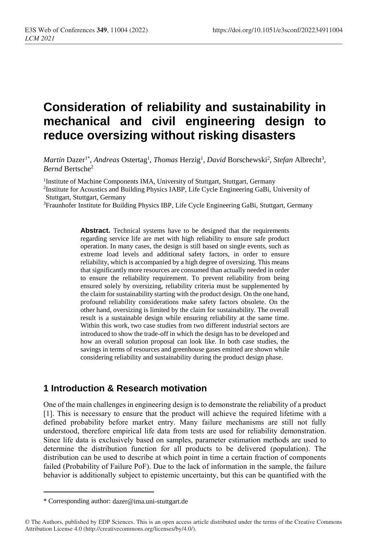# **Consideration of reliability and sustainability in mechanical and civil engineering design to reduce oversizing without risking disasters**

*Martin Dazer<sup>1\*</sup>, Andreas Ostertag<sup>1</sup>, Thomas Herzig<sup>1</sup>, David Borschewski<sup>2</sup>, Stefan Albrecht<sup>3</sup>, Bernd* Bertsche<sup>2</sup>

<sup>1</sup>Institute of Machine Components IMA, University of Stuttgart, Stuttgart, Germany 2 Institute for Acoustics and Building Physics IABP, Life Cycle Engineering GaBi, University of Stuttgart, Stuttgart, Germany

<sup>3</sup>Fraunhofer Institute for Building Physics IBP, Life Cycle Engineering GaBi, Stuttgart, Germany

**Abstract.** Technical systems have to be designed that the requirements regarding service life are met with high reliability to ensure safe product operation. In many cases, the design is still based on single events, such as extreme load levels and additional safety factors, in order to ensure reliability, which is accompanied by a high degree of oversizing. This means that significantly more resources are consumed than actually needed in order to ensure the reliability requirement. To prevent reliability from being ensured solely by oversizing, reliability criteria must be supplemented by the claim for sustainability starting with the product design. On the one hand, profound reliability considerations make safety factors obsolete. On the other hand, oversizing is limited by the claim for sustainability. The overall result is a sustainable design while ensuring reliability at the same time. Within this work, two case studies from two different industrial sectors are introduced to show the trade-off in which the design has to be developed and how an overall solution proposal can look like. In both case studies, the savings in terms of resources and greenhouse gases emitted are shown while considering reliability and sustainability during the product design phase.

### **1 Introduction & Research motivation**

One of the main challenges in engineering design is to demonstrate the reliability of a product [1]. This is necessary to ensure that the product will achieve the required lifetime with a defined probability before market entry. Many failure mechanisms are still not fully understood, therefore empirical life data from tests are used for reliability demonstration. Since life data is exclusively based on samples, parameter estimation methods are used to determine the distribution function for all products to be delivered (population). The distribution can be used to describe at which point in time a certain fraction of components failed (Probability of Failure PoF). Due to the lack of information in the sample, the failure behavior is additionally subject to epistemic uncertainty, but this can be quantified with the

 $\overline{a}$ 

<sup>\*</sup> Corresponding author: dazer@ima.uni-stuttgart.de

<sup>©</sup> The Authors, published by EDP Sciences. This is an open access article distributed under the terms of the Creative Commons Attribution License 4.0 (http://creativecommons.org/licenses/by/4.0/).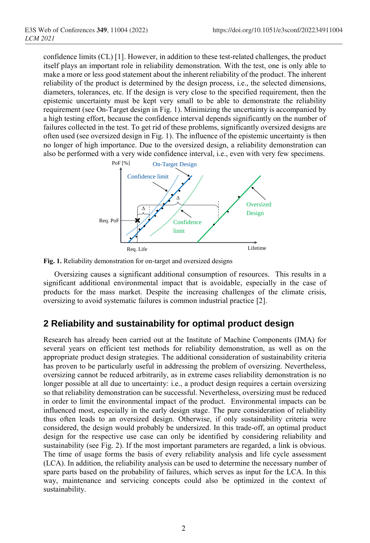confidence limits (CL) [1]. However, in addition to these test-related challenges, the product itself plays an important role in reliability demonstration. With the test, one is only able to make a more or less good statement about the inherent reliability of the product. The inherent reliability of the product is determined by the design process, i.e., the selected dimensions, diameters, tolerances, etc. If the design is very close to the specified requirement, then the epistemic uncertainty must be kept very small to be able to demonstrate the reliability requirement (see On-Target design in Fig. 1). Minimizing the uncertainty is accompanied by a high testing effort, because the confidence interval depends significantly on the number of failures collected in the test. To get rid of these problems, significantly oversized designs are often used (see oversized design in Fig. 1). The influence of the epistemic uncertainty is then no longer of high importance. Due to the oversized design, a reliability demonstration can also be performed with a very wide confidence interval, i.e., even with very few specimens.





Oversizing causes a significant additional consumption of resources. This results in a significant additional environmental impact that is avoidable, especially in the case of products for the mass market. Despite the increasing challenges of the climate crisis, oversizing to avoid systematic failures is common industrial practice [2].

### **2 Reliability and sustainability for optimal product design**

Research has already been carried out at the Institute of Machine Components (IMA) for several years on efficient test methods for reliability demonstration, as well as on the appropriate product design strategies. The additional consideration of sustainability criteria has proven to be particularly useful in addressing the problem of oversizing. Nevertheless, oversizing cannot be reduced arbitrarily, as in extreme cases reliability demonstration is no longer possible at all due to uncertainty: i.e., a product design requires a certain oversizing so that reliability demonstration can be successful. Nevertheless, oversizing must be reduced in order to limit the environmental impact of the product. Environmental impacts can be influenced most, especially in the early design stage. The pure consideration of reliability thus often leads to an oversized design. Otherwise, if only sustainability criteria were considered, the design would probably be undersized. In this trade-off, an optimal product design for the respective use case can only be identified by considering reliability and sustainability (see Fig. 2). If the most important parameters are regarded, a link is obvious. The time of usage forms the basis of every reliability analysis and life cycle assessment (LCA). In addition, the reliability analysis can be used to determine the necessary number of spare parts based on the probability of failures, which serves as input for the LCA. In this way, maintenance and servicing concepts could also be optimized in the context of sustainability.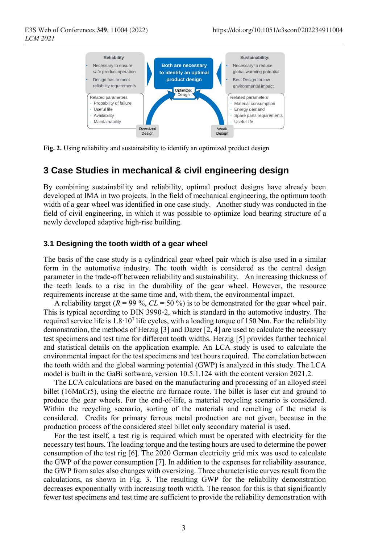

Fig. 2. Using reliability and sustainability to identify an optimized product design

### **3 Case Studies in mechanical & civil engineering design**

By combining sustainability and reliability, optimal product designs have already been developed at IMA in two projects. In the field of mechanical engineering, the optimum tooth width of a gear wheel was identified in one case study. Another study was conducted in the field of civil engineering, in which it was possible to optimize load bearing structure of a newly developed adaptive high-rise building.

#### **3.1 Designing the tooth width of a gear wheel**

The basis of the case study is a cylindrical gear wheel pair which is also used in a similar form in the automotive industry. The tooth width is considered as the central design parameter in the trade-off between reliability and sustainability. An increasing thickness of the teeth leads to a rise in the durability of the gear wheel. However, the resource requirements increase at the same time and, with them, the environmental impact.

A reliability target  $(R = 99\%, CL = 50\%)$  is to be demonstrated for the gear wheel pair. This is typical according to DIN 3990-2, which is standard in the automotive industry. The required service life is 1.8∙10<sup>7</sup> life cycles, with a loading torque of 150 Nm. For the reliability demonstration, the methods of Herzig [3] and Dazer [2, 4] are used to calculate the necessary test specimens and test time for different tooth widths. Herzig [5] provides further technical and statistical details on the application example. An LCA study is used to calculate the environmental impact for the test specimens and test hours required. The correlation between the tooth width and the global warming potential (GWP) is analyzed in this study. The LCA model is built in the GaBi software, version 10.5.1.124 with the content version 2021.2.

The LCA calculations are based on the manufacturing and processing of an alloyed steel billet (16MnCr5), using the electric arc furnace route. The billet is laser cut and ground to produce the gear wheels. For the end-of-life, a material recycling scenario is considered. Within the recycling scenario, sorting of the materials and remelting of the metal is considered. Credits for primary ferrous metal production are not given, because in the production process of the considered steel billet only secondary material is used.

For the test itself, a test rig is required which must be operated with electricity for the necessary test hours. The loading torque and the testing hours are used to determine the power consumption of the test rig [6]. The 2020 German electricity grid mix was used to calculate the GWP of the power consumption [7]. In addition to the expenses for reliability assurance, the GWP from sales also changes with oversizing. Three characteristic curves result from the calculations, as shown in Fig. 3. The resulting GWP for the reliability demonstration decreases exponentially with increasing tooth width. The reason for this is that significantly fewer test specimens and test time are sufficient to provide the reliability demonstration with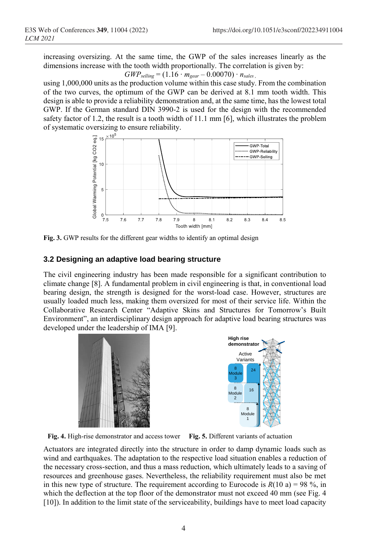increasing oversizing. At the same time, the GWP of the sales increases linearly as the dimensions increase with the tooth width proportionally. The correlation is given by:

$$
GWP_{\text{selling}} = (1.16 \cdot m_{\text{gear}} - 0.00070) \cdot n_{\text{sales}}
$$

using 1,000,000 units as the production volume within this case study. From the combination of the two curves, the optimum of the GWP can be derived at 8.1 mm tooth width. This design is able to provide a reliability demonstration and, at the same time, has the lowest total GWP. If the German standard DIN 3990-2 is used for the design with the recommended safety factor of 1.2, the result is a tooth width of 11.1 mm [6], which illustrates the problem of systematic oversizing to ensure reliability.



**Fig. 3.** GWP results for the different gear widths to identify an optimal design

### **3.2 Designing an adaptive load bearing structure**

The civil engineering industry has been made responsible for a significant contribution to climate change [8]. A fundamental problem in civil engineering is that, in conventional load bearing design, the strength is designed for the worst-load case. However, structures are usually loaded much less, making them oversized for most of their service life. Within the Collaborative Research Center "Adaptive Skins and Structures for Tomorrow's Built Environment", an interdisciplinary design approach for adaptive load bearing structures was developed under the leadership of IMA [9].



**Fig. 4.** High-rise demonstrator and access tower **Fig. 5.** Different variants of actuation

Actuators are integrated directly into the structure in order to damp dynamic loads such as wind and earthquakes. The adaptation to the respective load situation enables a reduction of the necessary cross-section, and thus a mass reduction, which ultimately leads to a saving of resources and greenhouse gases. Nevertheless, the reliability requirement must also be met in this new type of structure. The requirement according to Eurocode is  $R(10 a) = 98 %$ , in which the deflection at the top floor of the demonstrator must not exceed 40 mm (see Fig. 4 [10]). In addition to the limit state of the serviceability, buildings have to meet load capacity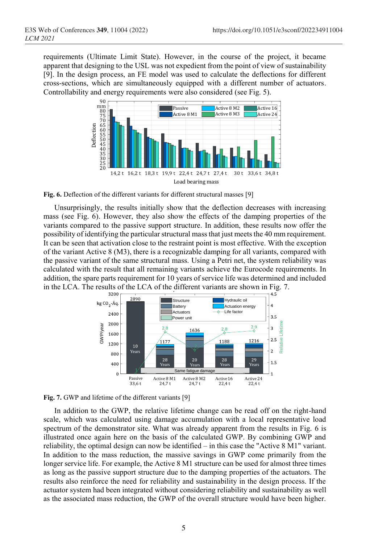requirements (Ultimate Limit State). However, in the course of the project, it became apparent that designing to the USL was not expedient from the point of view of sustainability [9]. In the design process, an FE model was used to calculate the deflections for different cross-sections, which are simultaneously equipped with a different number of actuators. Controllability and energy requirements were also considered (see Fig. 5).



**Fig. 6.** Deflection of the different variants for different structural masses [9]

Unsurprisingly, the results initially show that the deflection decreases with increasing mass (see Fig. 6). However, they also show the effects of the damping properties of the variants compared to the passive support structure. In addition, these results now offer the possibility of identifying the particular structural mass that just meets the 40 mm requirement. It can be seen that activation close to the restraint point is most effective. With the exception of the variant Active 8 (M3), there is a recognizable damping for all variants, compared with the passive variant of the same structural mass. Using a Petri net, the system reliability was calculated with the result that all remaining variants achieve the Eurocode requirements. In addition, the spare parts requirement for 10 years of service life was determined and included in the LCA. The results of the LCA of the different variants are shown in Fig. 7.



Fig. 7. GWP and lifetime of the different variants [9]

In addition to the GWP, the relative lifetime change can be read off on the right-hand scale, which was calculated using damage accumulation with a local representative load spectrum of the demonstrator site. What was already apparent from the results in Fig. 6 is illustrated once again here on the basis of the calculated GWP. By combining GWP and reliability, the optimal design can now be identified – in this case the "Active 8 M1" variant. In addition to the mass reduction, the massive savings in GWP come primarily from the longer service life. For example, the Active 8 M1 structure can be used for almost three times as long as the passive support structure due to the damping properties of the actuators. The results also reinforce the need for reliability and sustainability in the design process. If the actuator system had been integrated without considering reliability and sustainability as well as the associated mass reduction, the GWP of the overall structure would have been higher.